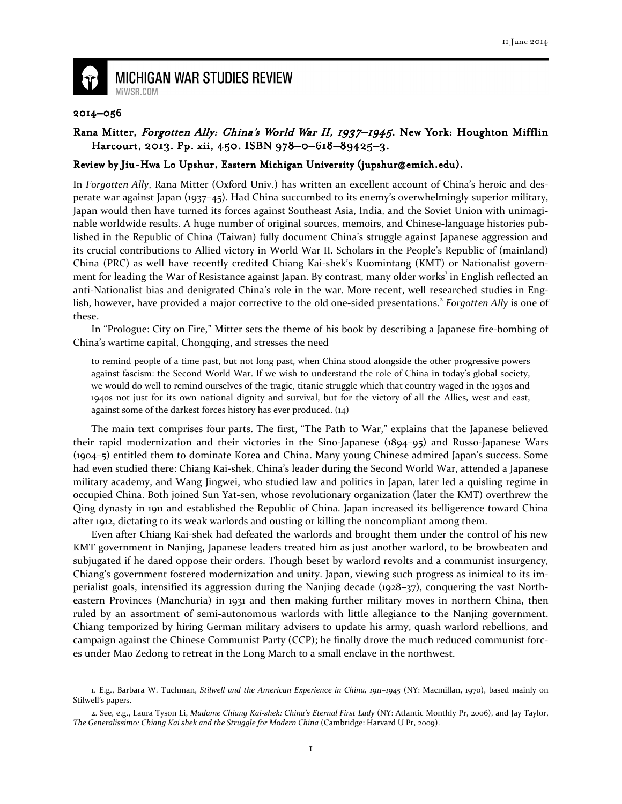

## **MICHIGAN WAR STUDIES REVIEW** MiWSR.COM

## 2014–056

 $\overline{\phantom{0}}$ 

## Rana Mitter, Forgotten Ally: China's World War II, 1937–1945. New York: Houghton Mifflin Harcourt, 2013. Pp. xii, 450. ISBN 978-0-618-89425-3.

## Review by Jiu-Hwa Lo Upshur, Eastern Michigan University (jupshur@emich.edu).

In Forgotten Ally, Rana Mitter (Oxford Univ.) has written an excellent account of China's heroic and desperate war against Japan (1937–45). Had China succumbed to its enemy's overwhelmingly superior military, Japan would then have turned its forces against Southeast Asia, India, and the Soviet Union with unimaginable worldwide results. A huge number of original sources, memoirs, and Chinese-language histories published in the Republic of China (Taiwan) fully document China's struggle against Japanese aggression and its crucial contributions to Allied victory in World War II. Scholars in the People's Republic of (mainland) China (PRC) as well have recently credited Chiang Kai-shek's Kuomintang (KMT) or Nationalist government for leading the War of Resistance against Japan. By contrast, many older works<sup>1</sup> in English reflected an anti-Nationalist bias and denigrated China's role in the war. More recent, well researched studies in English, however, have provided a major corrective to the old one-sided presentations.<sup>2</sup> Forgotten Ally is one of these.

In "Prologue: City on Fire," Mitter sets the theme of his book by describing a Japanese fire-bombing of China's wartime capital, Chongqing, and stresses the need

to remind people of a time past, but not long past, when China stood alongside the other progressive powers against fascism: the Second World War. If we wish to understand the role of China in today's global society, we would do well to remind ourselves of the tragic, titanic struggle which that country waged in the 1930s and 1940s not just for its own national dignity and survival, but for the victory of all the Allies, west and east, against some of the darkest forces history has ever produced. (14)

The main text comprises four parts. The first, "The Path to War," explains that the Japanese believed their rapid modernization and their victories in the Sino-Japanese (1894–95) and Russo-Japanese Wars (1904–5) entitled them to dominate Korea and China. Many young Chinese admired Japan's success. Some had even studied there: Chiang Kai-shek, China's leader during the Second World War, attended a Japanese military academy, and Wang Jingwei, who studied law and politics in Japan, later led a quisling regime in occupied China. Both joined Sun Yat-sen, whose revolutionary organization (later the KMT) overthrew the Qing dynasty in 1911 and established the Republic of China. Japan increased its belligerence toward China after 1912, dictating to its weak warlords and ousting or killing the noncompliant among them.

Even after Chiang Kai-shek had defeated the warlords and brought them under the control of his new KMT government in Nanjing, Japanese leaders treated him as just another warlord, to be browbeaten and subjugated if he dared oppose their orders. Though beset by warlord revolts and a communist insurgency, Chiang's government fostered modernization and unity. Japan, viewing such progress as inimical to its imperialist goals, intensified its aggression during the Nanjing decade (1928–37), conquering the vast Northeastern Provinces (Manchuria) in 1931 and then making further military moves in northern China, then ruled by an assortment of semi-autonomous warlords with little allegiance to the Nanjing government. Chiang temporized by hiring German military advisers to update his army, quash warlord rebellions, and campaign against the Chinese Communist Party (CCP); he finally drove the much reduced communist forces under Mao Zedong to retreat in the Long March to a small enclave in the northwest.

<sup>1.</sup> E.g., Barbara W. Tuchman, Stilwell and the American Experience in China, 1911–1945 (NY: Macmillan, 1970), based mainly on Stilwell's papers.

<sup>2.</sup> See, e.g., Laura Tyson Li, Madame Chiang Kai-shek: China's Eternal First Lady (NY: Atlantic Monthly Pr, 2006), and Jay Taylor, The Generalissimo: Chiang Kai-shek and the Struggle for Modern China (Cambridge: Harvard U Pr, 2009).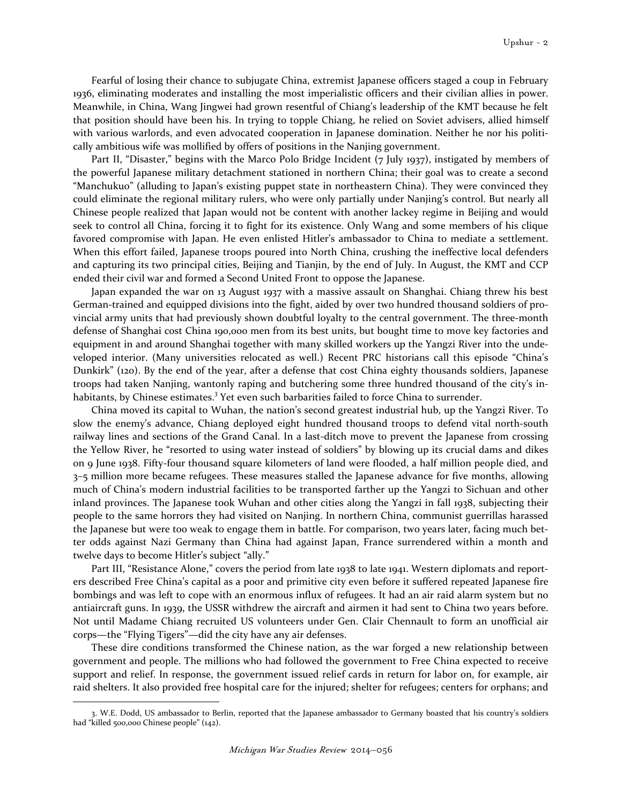Fearful of losing their chance to subjugate China, extremist Japanese officers staged a coup in February 1936, eliminating moderates and installing the most imperialistic officers and their civilian allies in power. Meanwhile, in China, Wang Jingwei had grown resentful of Chiang's leadership of the KMT because he felt that position should have been his. In trying to topple Chiang, he relied on Soviet advisers, allied himself with various warlords, and even advocated cooperation in Japanese domination. Neither he nor his politically ambitious wife was mollified by offers of positions in the Nanjing government.

Part II, "Disaster," begins with the Marco Polo Bridge Incident (7 July 1937), instigated by members of the powerful Japanese military detachment stationed in northern China; their goal was to create a second "Manchukuo" (alluding to Japan's existing puppet state in northeastern China). They were convinced they could eliminate the regional military rulers, who were only partially under Nanjing's control. But nearly all Chinese people realized that Japan would not be content with another lackey regime in Beijing and would seek to control all China, forcing it to fight for its existence. Only Wang and some members of his clique favored compromise with Japan. He even enlisted Hitler's ambassador to China to mediate a settlement. When this effort failed, Japanese troops poured into North China, crushing the ineffective local defenders and capturing its two principal cities, Beijing and Tianjin, by the end of July. In August, the KMT and CCP ended their civil war and formed a Second United Front to oppose the Japanese.

Japan expanded the war on 13 August 1937 with a massive assault on Shanghai. Chiang threw his best German-trained and equipped divisions into the fight, aided by over two hundred thousand soldiers of provincial army units that had previously shown doubtful loyalty to the central government. The three-month defense of Shanghai cost China 190,000 men from its best units, but bought time to move key factories and equipment in and around Shanghai together with many skilled workers up the Yangzi River into the undeveloped interior. (Many universities relocated as well.) Recent PRC historians call this episode "China's Dunkirk" (120). By the end of the year, after a defense that cost China eighty thousands soldiers, Japanese troops had taken Nanjing, wantonly raping and butchering some three hundred thousand of the city's inhabitants, by Chinese estimates.<sup>3</sup> Yet even such barbarities failed to force China to surrender.

China moved its capital to Wuhan, the nation's second greatest industrial hub, up the Yangzi River. To slow the enemy's advance, Chiang deployed eight hundred thousand troops to defend vital north-south railway lines and sections of the Grand Canal. In a last-ditch move to prevent the Japanese from crossing the Yellow River, he "resorted to using water instead of soldiers" by blowing up its crucial dams and dikes on 9 June 1938. Fifty-four thousand square kilometers of land were flooded, a half million people died, and 3–5 million more became refugees. These measures stalled the Japanese advance for five months, allowing much of China's modern industrial facilities to be transported farther up the Yangzi to Sichuan and other inland provinces. The Japanese took Wuhan and other cities along the Yangzi in fall 1938, subjecting their people to the same horrors they had visited on Nanjing. In northern China, communist guerrillas harassed the Japanese but were too weak to engage them in battle. For comparison, two years later, facing much better odds against Nazi Germany than China had against Japan, France surrendered within a month and twelve days to become Hitler's subject "ally."

Part III, "Resistance Alone," covers the period from late 1938 to late 1941. Western diplomats and reporters described Free China's capital as a poor and primitive city even before it suffered repeated Japanese fire bombings and was left to cope with an enormous influx of refugees. It had an air raid alarm system but no antiaircraft guns. In 1939, the USSR withdrew the aircraft and airmen it had sent to China two years before. Not until Madame Chiang recruited US volunteers under Gen. Clair Chennault to form an unofficial air corps—the "Flying Tigers"—did the city have any air defenses.

These dire conditions transformed the Chinese nation, as the war forged a new relationship between government and people. The millions who had followed the government to Free China expected to receive support and relief. In response, the government issued relief cards in return for labor on, for example, air raid shelters. It also provided free hospital care for the injured; shelter for refugees; centers for orphans; and  $\overline{\phantom{0}}$ 

<sup>3.</sup> W.E. Dodd, US ambassador to Berlin, reported that the Japanese ambassador to Germany boasted that his country's soldiers had "killed 500,000 Chinese people" (142).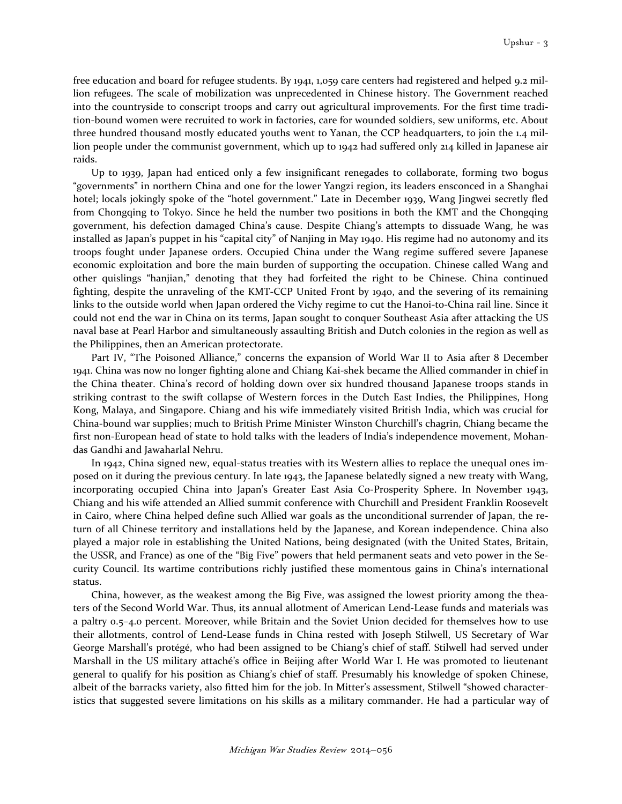free education and board for refugee students. By 1941, 1,059 care centers had registered and helped 9.2 million refugees. The scale of mobilization was unprecedented in Chinese history. The Government reached into the countryside to conscript troops and carry out agricultural improvements. For the first time tradition-bound women were recruited to work in factories, care for wounded soldiers, sew uniforms, etc. About three hundred thousand mostly educated youths went to Yanan, the CCP headquarters, to join the 1.4 million people under the communist government, which up to 1942 had suffered only 214 killed in Japanese air raids.

Up to 1939, Japan had enticed only a few insignificant renegades to collaborate, forming two bogus "governments" in northern China and one for the lower Yangzi region, its leaders ensconced in a Shanghai hotel; locals jokingly spoke of the "hotel government." Late in December 1939, Wang Jingwei secretly fled from Chongqing to Tokyo. Since he held the number two positions in both the KMT and the Chongqing government, his defection damaged China's cause. Despite Chiang's attempts to dissuade Wang, he was installed as Japan's puppet in his "capital city" of Nanjing in May 1940. His regime had no autonomy and its troops fought under Japanese orders. Occupied China under the Wang regime suffered severe Japanese economic exploitation and bore the main burden of supporting the occupation. Chinese called Wang and other quislings "hanjian," denoting that they had forfeited the right to be Chinese. China continued fighting, despite the unraveling of the KMT-CCP United Front by 1940, and the severing of its remaining links to the outside world when Japan ordered the Vichy regime to cut the Hanoi-to-China rail line. Since it could not end the war in China on its terms, Japan sought to conquer Southeast Asia after attacking the US naval base at Pearl Harbor and simultaneously assaulting British and Dutch colonies in the region as well as the Philippines, then an American protectorate.

Part IV, "The Poisoned Alliance," concerns the expansion of World War II to Asia after 8 December 1941. China was now no longer fighting alone and Chiang Kai-shek became the Allied commander in chief in the China theater. China's record of holding down over six hundred thousand Japanese troops stands in striking contrast to the swift collapse of Western forces in the Dutch East Indies, the Philippines, Hong Kong, Malaya, and Singapore. Chiang and his wife immediately visited British India, which was crucial for China-bound war supplies; much to British Prime Minister Winston Churchill's chagrin, Chiang became the first non-European head of state to hold talks with the leaders of India's independence movement, Mohandas Gandhi and Jawaharlal Nehru.

In 1942, China signed new, equal-status treaties with its Western allies to replace the unequal ones imposed on it during the previous century. In late 1943, the Japanese belatedly signed a new treaty with Wang, incorporating occupied China into Japan's Greater East Asia Co-Prosperity Sphere. In November 1943, Chiang and his wife attended an Allied summit conference with Churchill and President Franklin Roosevelt in Cairo, where China helped define such Allied war goals as the unconditional surrender of Japan, the return of all Chinese territory and installations held by the Japanese, and Korean independence. China also played a major role in establishing the United Nations, being designated (with the United States, Britain, the USSR, and France) as one of the "Big Five" powers that held permanent seats and veto power in the Security Council. Its wartime contributions richly justified these momentous gains in China's international status.

China, however, as the weakest among the Big Five, was assigned the lowest priority among the theaters of the Second World War. Thus, its annual allotment of American Lend-Lease funds and materials was a paltry 0.5–4.0 percent. Moreover, while Britain and the Soviet Union decided for themselves how to use their allotments, control of Lend-Lease funds in China rested with Joseph Stilwell, US Secretary of War George Marshall's protégé, who had been assigned to be Chiang's chief of staff. Stilwell had served under Marshall in the US military attaché's office in Beijing after World War I. He was promoted to lieutenant general to qualify for his position as Chiang's chief of staff. Presumably his knowledge of spoken Chinese, albeit of the barracks variety, also fitted him for the job. In Mitter's assessment, Stilwell "showed characteristics that suggested severe limitations on his skills as a military commander. He had a particular way of